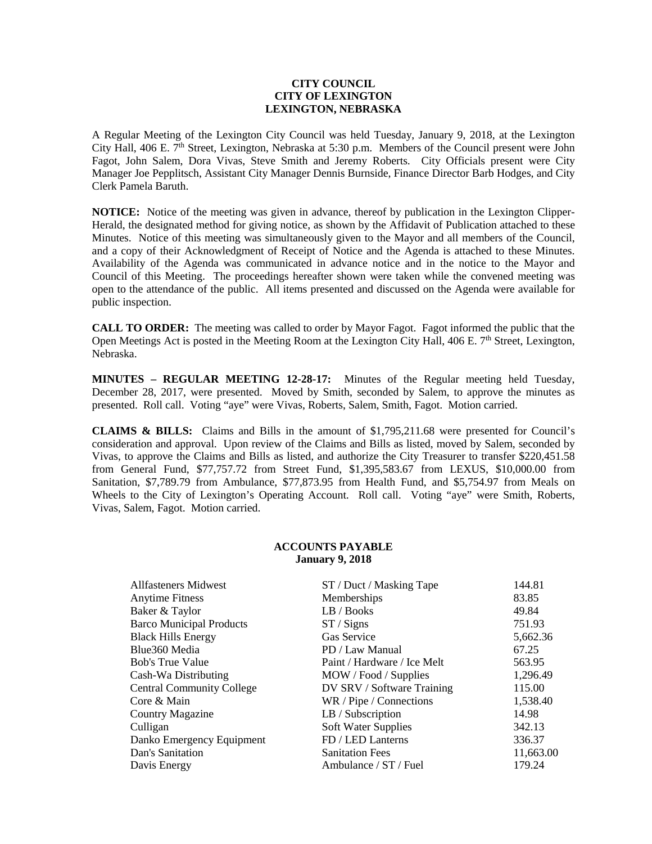## **CITY COUNCIL CITY OF LEXINGTON LEXINGTON, NEBRASKA**

A Regular Meeting of the Lexington City Council was held Tuesday, January 9, 2018, at the Lexington City Hall, 406 E. 7<sup>th</sup> Street, Lexington, Nebraska at 5:30 p.m. Members of the Council present were John Fagot, John Salem, Dora Vivas, Steve Smith and Jeremy Roberts. City Officials present were City Manager Joe Pepplitsch, Assistant City Manager Dennis Burnside, Finance Director Barb Hodges, and City Clerk Pamela Baruth.

**NOTICE:** Notice of the meeting was given in advance, thereof by publication in the Lexington Clipper-Herald, the designated method for giving notice, as shown by the Affidavit of Publication attached to these Minutes. Notice of this meeting was simultaneously given to the Mayor and all members of the Council, and a copy of their Acknowledgment of Receipt of Notice and the Agenda is attached to these Minutes. Availability of the Agenda was communicated in advance notice and in the notice to the Mayor and Council of this Meeting. The proceedings hereafter shown were taken while the convened meeting was open to the attendance of the public. All items presented and discussed on the Agenda were available for public inspection.

**CALL TO ORDER:** The meeting was called to order by Mayor Fagot. Fagot informed the public that the Open Meetings Act is posted in the Meeting Room at the Lexington City Hall, 406 E. 7<sup>th</sup> Street, Lexington, Nebraska.

**MINUTES – REGULAR MEETING 12-28-17:** Minutes of the Regular meeting held Tuesday, December 28, 2017, were presented. Moved by Smith, seconded by Salem, to approve the minutes as presented. Roll call. Voting "aye" were Vivas, Roberts, Salem, Smith, Fagot. Motion carried.

**CLAIMS & BILLS:** Claims and Bills in the amount of \$1,795,211.68 were presented for Council's consideration and approval. Upon review of the Claims and Bills as listed, moved by Salem, seconded by Vivas, to approve the Claims and Bills as listed, and authorize the City Treasurer to transfer \$220,451.58 from General Fund, \$77,757.72 from Street Fund, \$1,395,583.67 from LEXUS, \$10,000.00 from Sanitation, \$7,789.79 from Ambulance, \$77,873.95 from Health Fund, and \$5,754.97 from Meals on Wheels to the City of Lexington's Operating Account. Roll call. Voting "aye" were Smith, Roberts, Vivas, Salem, Fagot. Motion carried.

## **ACCOUNTS PAYABLE January 9, 2018**

| Allfasteners Midwest             | ST / Duct / Masking Tape    | 144.81    |
|----------------------------------|-----------------------------|-----------|
| <b>Anytime Fitness</b>           | Memberships                 | 83.85     |
| Baker & Taylor                   | LB / Books                  | 49.84     |
| <b>Barco Municipal Products</b>  | ST / Signs                  | 751.93    |
| <b>Black Hills Energy</b>        | Gas Service                 | 5,662.36  |
| Blue360 Media                    | PD / Law Manual             | 67.25     |
| <b>Bob's True Value</b>          | Paint / Hardware / Ice Melt | 563.95    |
| Cash-Wa Distributing             | MOW / Food / Supplies       | 1,296.49  |
| <b>Central Community College</b> | DV SRV / Software Training  | 115.00    |
| Core & Main                      | WR / Pipe / Connections     | 1,538.40  |
| <b>Country Magazine</b>          | LB / Subscription           | 14.98     |
| Culligan                         | Soft Water Supplies         | 342.13    |
| Danko Emergency Equipment        | FD / LED Lanterns           | 336.37    |
| Dan's Sanitation                 | <b>Sanitation Fees</b>      | 11,663.00 |
| Davis Energy                     | Ambulance / ST / Fuel       | 179.24    |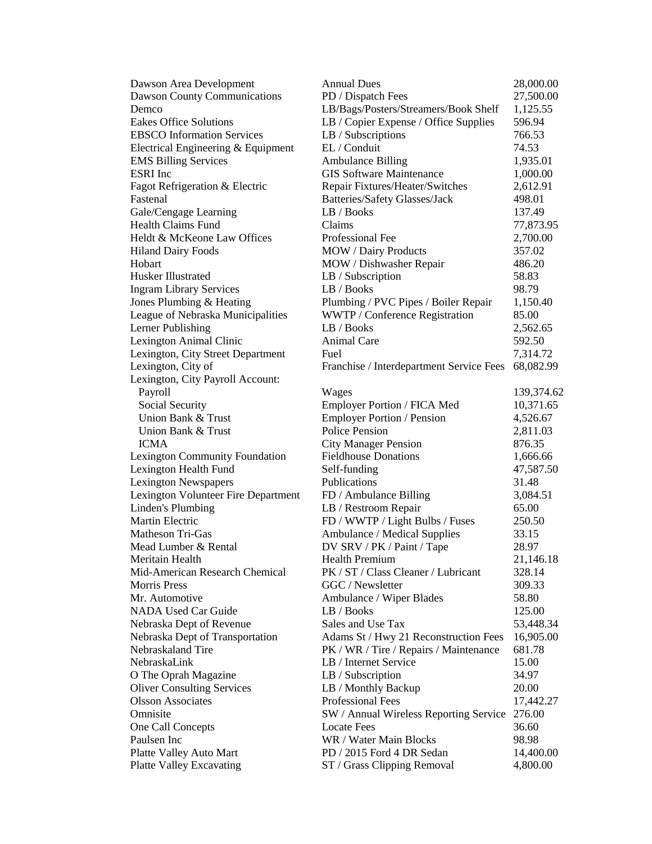| Dawson Area Development                              | <b>Annual Dues</b>                       | 28,000.00  |
|------------------------------------------------------|------------------------------------------|------------|
| Dawson County Communications                         | PD / Dispatch Fees                       | 27,500.00  |
| Demco                                                | LB/Bags/Posters/Streamers/Book Shelf     | 1,125.55   |
| <b>Eakes Office Solutions</b>                        | LB / Copier Expense / Office Supplies    | 596.94     |
| <b>EBSCO</b> Information Services                    | LB / Subscriptions                       | 766.53     |
| Electrical Engineering & Equipment                   | EL / Conduit                             | 74.53      |
| <b>EMS Billing Services</b>                          | <b>Ambulance Billing</b>                 | 1,935.01   |
| <b>ESRI</b> Inc                                      | <b>GIS Software Maintenance</b>          | 1,000.00   |
| Fagot Refrigeration & Electric                       | Repair Fixtures/Heater/Switches          | 2,612.91   |
| Fastenal                                             | Batteries/Safety Glasses/Jack            | 498.01     |
| Gale/Cengage Learning                                | LB / Books                               | 137.49     |
| Health Claims Fund                                   | Claims                                   | 77,873.95  |
| Heldt & McKeone Law Offices                          | Professional Fee                         | 2,700.00   |
| <b>Hiland Dairy Foods</b>                            | <b>MOW</b> / Dairy Products              | 357.02     |
| Hobart                                               | MOW / Dishwasher Repair                  | 486.20     |
| Husker Illustrated                                   | LB / Subscription                        | 58.83      |
| <b>Ingram Library Services</b>                       | LB / Books                               | 98.79      |
| Jones Plumbing & Heating                             | Plumbing / PVC Pipes / Boiler Repair     | 1,150.40   |
| League of Nebraska Municipalities                    | WWTP / Conference Registration           | 85.00      |
| Lerner Publishing                                    | LB / Books                               | 2,562.65   |
| Lexington Animal Clinic                              | Animal Care                              | 592.50     |
| Lexington, City Street Department                    | Fuel                                     | 7,314.72   |
| Lexington, City of                                   | Franchise / Interdepartment Service Fees | 68,082.99  |
| Lexington, City Payroll Account:                     |                                          |            |
| Payroll                                              | Wages                                    | 139,374.62 |
| Social Security                                      | Employer Portion / FICA Med              | 10,371.65  |
| Union Bank & Trust                                   | <b>Employer Portion / Pension</b>        | 4,526.67   |
| Union Bank & Trust                                   | <b>Police Pension</b>                    | 2,811.03   |
| <b>ICMA</b>                                          | <b>City Manager Pension</b>              | 876.35     |
| Lexington Community Foundation                       | <b>Fieldhouse Donations</b>              | 1,666.66   |
| Lexington Health Fund                                | Self-funding                             | 47,587.50  |
| <b>Lexington Newspapers</b>                          | Publications                             | 31.48      |
| Lexington Volunteer Fire Department                  | FD / Ambulance Billing                   | 3,084.51   |
| Linden's Plumbing                                    | LB / Restroom Repair                     | 65.00      |
| Martin Electric                                      | FD / WWTP / Light Bulbs / Fuses          | 250.50     |
| Matheson Tri-Gas                                     | Ambulance / Medical Supplies             | 33.15      |
| Mead Lumber & Rental                                 | DV SRV / PK / Paint / Tape               | 28.97      |
| Meritain Health                                      | <b>Health Premium</b>                    | 21,146.18  |
| Mid-American Research Chemical                       | PK / ST / Class Cleaner / Lubricant      | 328.14     |
| <b>Morris Press</b>                                  | GGC / Newsletter                         | 309.33     |
| Mr. Automotive                                       | Ambulance / Wiper Blades                 | 58.80      |
| <b>NADA Used Car Guide</b>                           | LB / Books                               | 125.00     |
|                                                      | Sales and Use Tax                        |            |
| Nebraska Dept of Revenue                             |                                          | 53,448.34  |
| Nebraska Dept of Transportation<br>Nebraskaland Tire | Adams St / Hwy 21 Reconstruction Fees    | 16,905.00  |
|                                                      | PK / WR / Tire / Repairs / Maintenance   | 681.78     |
| NebraskaLink                                         | LB / Internet Service                    | 15.00      |
| O The Oprah Magazine                                 | LB / Subscription                        | 34.97      |
| <b>Oliver Consulting Services</b>                    | LB / Monthly Backup                      | 20.00      |
| <b>Olsson Associates</b>                             | <b>Professional Fees</b>                 | 17,442.27  |
| Omnisite                                             | SW / Annual Wireless Reporting Service   | 276.00     |
| One Call Concepts                                    | <b>Locate Fees</b>                       | 36.60      |
| Paulsen Inc                                          | WR / Water Main Blocks                   | 98.98      |
| Platte Valley Auto Mart                              | PD / 2015 Ford 4 DR Sedan                | 14,400.00  |
| <b>Platte Valley Excavating</b>                      | ST / Grass Clipping Removal              | 4,800.00   |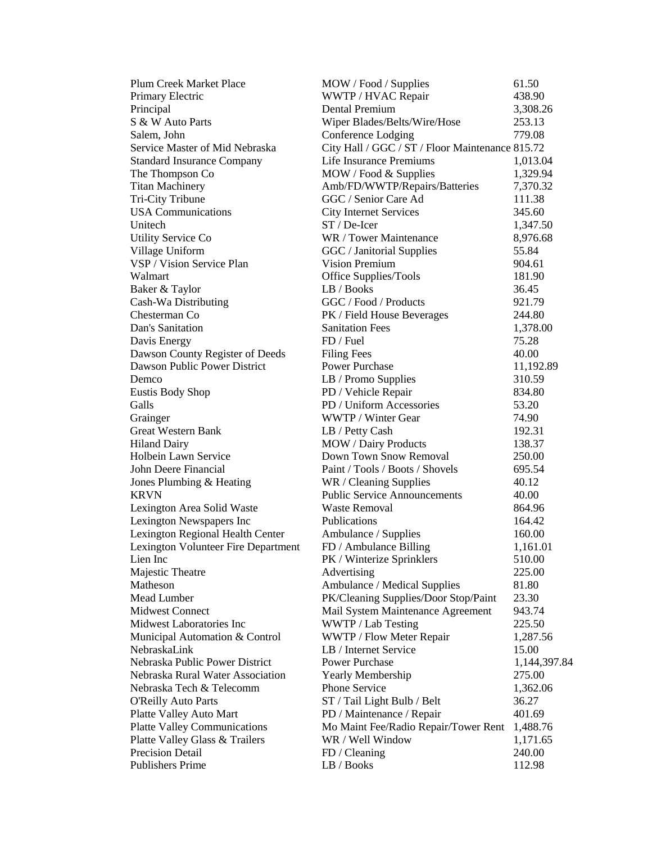| <b>Plum Creek Market Place</b>      | MOW / Food / Supplies                           | 61.50        |
|-------------------------------------|-------------------------------------------------|--------------|
| Primary Electric                    | WWTP / HVAC Repair                              | 438.90       |
| Principal                           | <b>Dental Premium</b>                           | 3,308.26     |
| S & W Auto Parts                    | Wiper Blades/Belts/Wire/Hose                    | 253.13       |
| Salem, John                         | Conference Lodging                              | 779.08       |
| Service Master of Mid Nebraska      | City Hall / GGC / ST / Floor Maintenance 815.72 |              |
| <b>Standard Insurance Company</b>   | Life Insurance Premiums                         | 1,013.04     |
| The Thompson Co                     | MOW / Food & Supplies                           | 1,329.94     |
| <b>Titan Machinery</b>              | Amb/FD/WWTP/Repairs/Batteries                   | 7,370.32     |
| <b>Tri-City Tribune</b>             | GGC / Senior Care Ad                            | 111.38       |
| <b>USA</b> Communications           | <b>City Internet Services</b>                   | 345.60       |
| Unitech                             | $ST/De-Icer$                                    | 1,347.50     |
| <b>Utility Service Co</b>           | WR / Tower Maintenance                          | 8,976.68     |
| Village Uniform                     | GGC / Janitorial Supplies                       | 55.84        |
| VSP / Vision Service Plan           | <b>Vision Premium</b>                           | 904.61       |
| Walmart                             | Office Supplies/Tools                           | 181.90       |
| Baker & Taylor                      | LB / Books                                      | 36.45        |
| Cash-Wa Distributing                | GGC / Food / Products                           | 921.79       |
| Chesterman Co                       | PK / Field House Beverages                      | 244.80       |
| Dan's Sanitation                    | <b>Sanitation Fees</b>                          | 1,378.00     |
| Davis Energy                        | FD / Fuel                                       | 75.28        |
| Dawson County Register of Deeds     | <b>Filing Fees</b>                              | 40.00        |
| Dawson Public Power District        | <b>Power Purchase</b>                           | 11,192.89    |
| Demco                               | LB / Promo Supplies                             | 310.59       |
| <b>Eustis Body Shop</b>             | PD / Vehicle Repair                             | 834.80       |
| Galls                               | PD / Uniform Accessories                        | 53.20        |
| Grainger                            | WWTP / Winter Gear                              | 74.90        |
| <b>Great Western Bank</b>           | LB / Petty Cash                                 | 192.31       |
| <b>Hiland Dairy</b>                 | <b>MOW</b> / Dairy Products                     | 138.37       |
| Holbein Lawn Service                | Down Town Snow Removal                          | 250.00       |
| John Deere Financial                | Paint / Tools / Boots / Shovels                 | 695.54       |
| Jones Plumbing & Heating            | WR / Cleaning Supplies                          | 40.12        |
| <b>KRVN</b>                         | <b>Public Service Announcements</b>             | 40.00        |
| Lexington Area Solid Waste          | <b>Waste Removal</b>                            | 864.96       |
| Lexington Newspapers Inc            | <b>Publications</b>                             | 164.42       |
| Lexington Regional Health Center    | Ambulance / Supplies                            | 160.00       |
| Lexington Volunteer Fire Department | FD / Ambulance Billing                          | 1,161.01     |
| Lien Inc                            | PK / Winterize Sprinklers                       | 510.00       |
| Majestic Theatre                    | Advertising                                     | 225.00       |
| Matheson                            | Ambulance / Medical Supplies                    | 81.80        |
| Mead Lumber                         | PK/Cleaning Supplies/Door Stop/Paint            | 23.30        |
| <b>Midwest Connect</b>              | Mail System Maintenance Agreement               | 943.74       |
| Midwest Laboratories Inc            | WWTP / Lab Testing                              | 225.50       |
| Municipal Automation & Control      | WWTP / Flow Meter Repair                        | 1,287.56     |
| NebraskaLink                        | LB / Internet Service                           | 15.00        |
| Nebraska Public Power District      | <b>Power Purchase</b>                           | 1,144,397.84 |
| Nebraska Rural Water Association    | Yearly Membership                               | 275.00       |
| Nebraska Tech & Telecomm            | <b>Phone Service</b>                            | 1,362.06     |
| <b>O'Reilly Auto Parts</b>          | ST / Tail Light Bulb / Belt                     | 36.27        |
| Platte Valley Auto Mart             | PD / Maintenance / Repair                       | 401.69       |
| <b>Platte Valley Communications</b> | Mo Maint Fee/Radio Repair/Tower Rent            | 1,488.76     |
| Platte Valley Glass & Trailers      | WR / Well Window                                | 1,171.65     |
| <b>Precision Detail</b>             | FD / Cleaning                                   | 240.00       |
| <b>Publishers Prime</b>             | LB / Books                                      | 112.98       |
|                                     |                                                 |              |